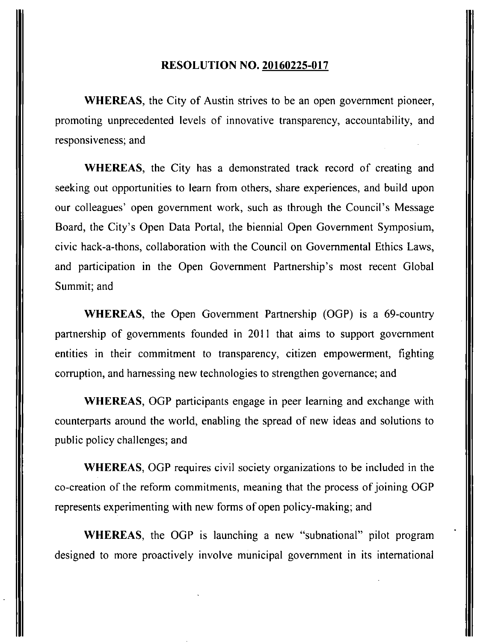## **RESOLUTION NO. 20160225-017**

WHEREAS, the City of Austin strives to be an open government pioneer, promoting unprecedented levels of innovative transparency, accountability, and responsiveness; and

WHEREAS, the City has a demonstrated track record of creating and seeking out opportunities to learn from others, share experiences, and build upon our colleagues' open government work, such as through the Council's Message Board, the City's Open Data Portal, the biennial Open Government Symposium, civic hack-a-thons, collaboration with the Council on Governmental Ethics Laws, and participation in the Open Government Partnership's most recent Global Summit; and

WHEREAS, the Open Government Partnership (OGP) is a 69-country partnership of governments founded in 2011 that aims to support government entities in their commitment to transparency, citizen empowerment, fighting corruption, and harnessing new technologies to strengthen governance; and

WHEREAS, OGP participants engage in peer learning and exchange with counterparts around the world, enabling the spread of new ideas and solutions to public policy challenges; and

WHEREAS, OGP requires civil society organizations to be included in the co-creation of the reform commitments, meaning that the process of joining OGP represents experimenting with new forms of open policy-making; and

WHEREAS, the OGP is launching a new "subnational" pilot program designed to more proactively involve municipal government in its international